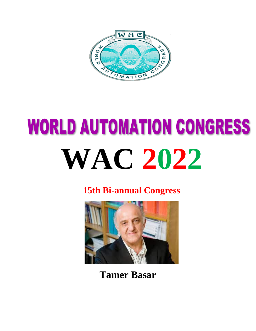

# **WORLD AUTOMATION CONGRESS WAC 2022**

**15th Bi-annual Congress**



**Tamer Basar**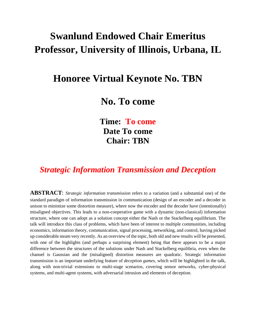## **Swanlund Endowed Chair Emeritus Professor, University of Illinois, Urbana, IL**

#### **Honoree Virtual Keynote No. TBN**

### **No. To come**

**Time: To come Date To come Chair: TBN**

#### *Strategic Information Transmission and Deception*

**ABSTRACT**: *Strategic information transmission* refers to a variation (and a substantial one) of the standard paradigm of information transmission in communication (design of an encoder and a decoder in unison to minimize some distortion measure), where now the encoder and the decoder have (intentionally) misaligned objectives. This leads to a non-cooperative game with a dynamic (non-classical) information structure, where one can adopt as a solution concept either the Nash or the Stackelberg equilibrium. The talk will introduce this class of problems, which have been of interest to multiple communities, including economics, information theory, communication, signal processing, networking, and control, having picked up considerable steam very recently. As an overview of the topic, both old and new results will be presented, with one of the highlights (and perhaps a surprising element) being that there appears to be a major difference between the structures of the solutions under Nash and Stackelberg equilibria, even when the channel is Gaussian and the (misaligned) distortion measures are quadratic. Strategic information transmission is an important underlying feature of *deception games*, which will be highlighted in the talk, along with non-trivial extensions to multi-stage scenarios, covering sensor networks, cyber-physical systems, and multi-agent systems, with adversarial intrusion and elements of deception.